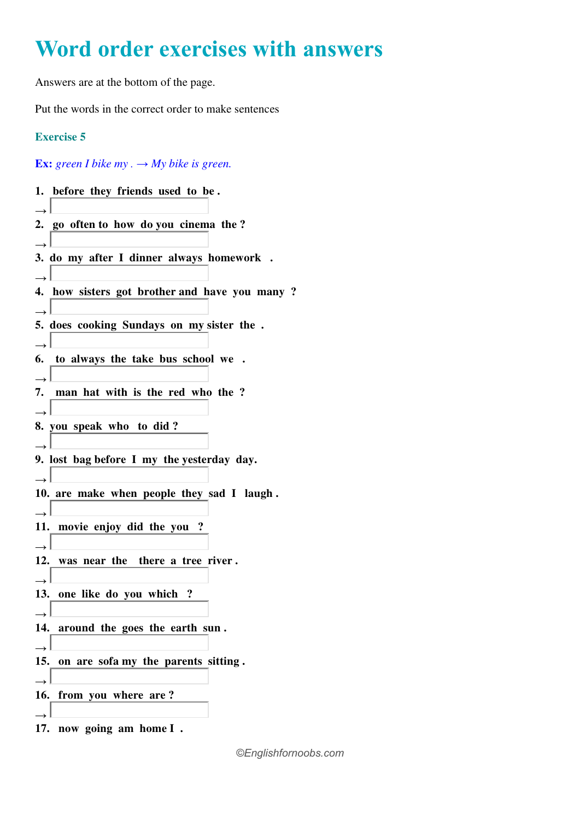## **Word order exercises with answers**

Answers are at the bottom of the page.

Put the words in the correct order to make sentences

## **Exercise 5**

## **Ex:** green I bike my  $\rightarrow$  My bike is green.

| 1. before they friends used to be.                         |
|------------------------------------------------------------|
| 2. go often to how do you cinema the?                      |
| 3. do my after I dinner always homework.                   |
| 4. how sisters got brother and have you many ?             |
| 5. does cooking Sundays on my sister the.<br>$\rightarrow$ |
| 6. to always the take bus school we.                       |
| 7. man hat with is the red who the ?<br>$\rightarrow$      |
| 8. you speak who to did?                                   |
| 9. lost bag before I my the yesterday day.                 |
| 10. are make when people they sad I laugh.                 |
| 11. movie enjoy did the you?                               |
| $\rightarrow$<br>12. was near the there a tree river.      |
| 13. one like do you which ?                                |
| $\rightarrow$<br>14. around the goes the earth sun.        |
| 15. on are sofa my the parents sitting.                    |
| 16. from you where are?                                    |
| 17. now going am home I.                                   |

*©Englishfornoobs.com*